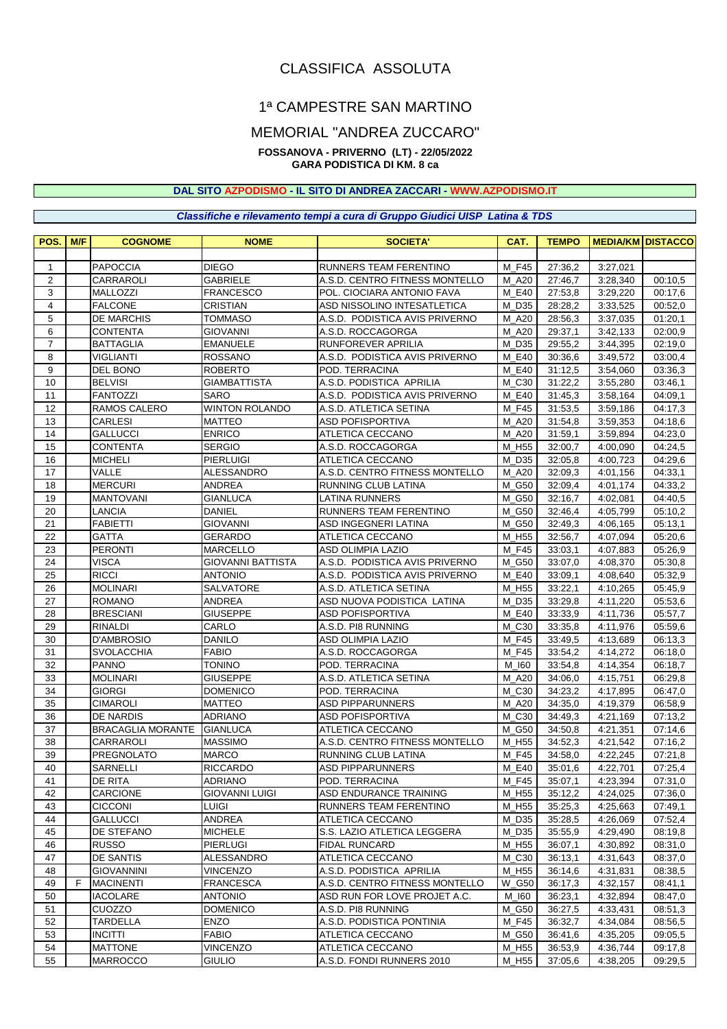# CLASSIFICA ASSOLUTA

# 1ª CAMPESTRE SAN MARTINO

### MEMORIAL "ANDREA ZUCCARO"

### **FOSSANOVA - PRIVERNO (LT) - 22/05/2022**

## **GARA PODISTICA DI KM. 8 ca**

#### **DAL SITO AZPODISMO - IL SITO DI ANDREA ZACCARI - [WWW.AZPODISMO.IT](http://www.azpodismo.it)**

*Classifiche e rilevamento tempi a cura di Gruppo Giudici UISP Latina & TDS*

| POS.           | M/F | <b>COGNOME</b>           | <b>NOME</b>              | <b>SOCIETA'</b>                | CAT.         | <b>TEMPO</b> |                  | <b>MEDIA/KM DISTACCO</b> |
|----------------|-----|--------------------------|--------------------------|--------------------------------|--------------|--------------|------------------|--------------------------|
|                |     |                          |                          |                                |              |              |                  |                          |
| $\mathbf{1}$   |     | <b>PAPOCCIA</b>          | <b>DIEGO</b>             | RUNNERS TEAM FERENTINO         | M F45        | 27:36,2      | 3:27,021         |                          |
| $\overline{2}$ |     | CARRAROLI                | <b>GABRIELE</b>          | A.S.D. CENTRO FITNESS MONTELLO | M A20        | 27:46,7      | 3:28,340         | 00:10.5                  |
| 3              |     | MALLOZZI                 | FRANCESCO                | POL. CIOCIARA ANTONIO FAVA     | M E40        | 27:53,8      | 3:29,220         | 00:17,6                  |
| 4              |     | <b>FALCONE</b>           | <b>CRISTIAN</b>          | ASD NISSOLINO INTESATLETICA    | M D35        | 28:28,2      | 3:33,525         | 00:52,0                  |
| 5              |     | <b>DE MARCHIS</b>        | <b>TOMMASO</b>           | A.S.D. PODISTICA AVIS PRIVERNO | M A20        | 28:56,3      | 3:37,035         | 01:20,1                  |
| 6              |     | <b>CONTENTA</b>          | <b>GIOVANNI</b>          | A.S.D. ROCCAGORGA              | M A20        | 29:37,1      | 3:42,133         | 02:00,9                  |
| $\overline{7}$ |     | <b>BATTAGLIA</b>         | <b>EMANUELE</b>          | RUNFOREVER APRILIA             | M D35        | 29:55,2      | 3:44,395         | 02:19,0                  |
| 8              |     | <b>VIGLIANTI</b>         | <b>ROSSANO</b>           | A.S.D. PODISTICA AVIS PRIVERNO | M E40        | 30:36,6      | 3:49,572         | 03:00,4                  |
| 9              |     | DEL BONO                 | <b>ROBERTO</b>           | POD. TERRACINA                 | M E40        | 31:12,5      | 3:54,060         | 03:36,3                  |
| 10             |     | <b>BELVISI</b>           | <b>GIAMBATTISTA</b>      | A.S.D. PODISTICA APRILIA       | M C30        | 31:22,2      | 3:55,280         | 03:46,1                  |
| 11             |     | <b>FANTOZZI</b>          | <b>SARO</b>              | A.S.D. PODISTICA AVIS PRIVERNO | M E40        | 31:45,3      | 3:58,164         | 04:09,1                  |
| 12             |     | <b>RAMOS CALERO</b>      | <b>WINTON ROLANDO</b>    | A.S.D. ATLETICA SETINA         | M F45        | 31:53,5      | 3:59,186         | 04:17,3                  |
| 13             |     | <b>CARLESI</b>           | <b>MATTEO</b>            | <b>ASD POFISPORTIVA</b>        | M A20        | 31:54,8      | 3:59,353         | 04:18,6                  |
| 14             |     | GALLUCCI                 | <b>ENRICO</b>            | ATLETICA CECCANO               | M A20        | 31:59,1      | 3:59,894         | 04:23,0                  |
| 15             |     | <b>CONTENTA</b>          | <b>SERGIO</b>            | A.S.D. ROCCAGORGA              | M_H55        | 32:00,7      | 4:00,090         | 04:24,5                  |
| 16             |     | <b>MICHELI</b>           | <b>PIERLUIGI</b>         | ATLETICA CECCANO               | M D35        | 32:05.8      | 4:00,723         | 04:29.6                  |
| 17             |     | <b>VALLE</b>             | ALESSANDRO               | A.S.D. CENTRO FITNESS MONTELLO | M A20        | 32:09.3      | 4:01,156         | 04:33,1                  |
| 18             |     | <b>MERCURI</b>           | <b>ANDREA</b>            | RUNNING CLUB LATINA            | M G50        | 32:09,4      | 4:01.174         | 04:33,2                  |
| 19             |     | <b>MANTOVANI</b>         | GIANLUCA                 | <b>LATINA RUNNERS</b>          | M_G50        | 32:16,7      | 4:02,081         | 04:40,5                  |
| 20             |     | LANCIA                   | <b>DANIEL</b>            | RUNNERS TEAM FERENTINO         | M G50        | 32:46.4      | 4:05,799         | 05:10,2                  |
| 21             |     | <b>FABIETTI</b>          | <b>GIOVANNI</b>          | ASD INGEGNERI LATINA           | M G50        | 32:49,3      | 4:06,165         | 05:13,1                  |
| 22             |     | GATTA                    | GERARDO                  | <b>ATLETICA CECCANO</b>        | M H55        | 32:56,7      | 4:07.094         | 05:20,6                  |
| 23             |     | <b>PERONTI</b>           | <b>MARCELLO</b>          | ASD OLIMPIA LAZIO              | M F45        | 33:03,1      | 4:07,883         | 05:26,9                  |
| 24             |     | <b>VISCA</b>             | <b>GIOVANNI BATTISTA</b> | A.S.D. PODISTICA AVIS PRIVERNO | M G50        | 33:07,0      | 4:08,370         | 05:30,8                  |
| 25             |     | <b>RICCI</b>             | <b>ANTONIO</b>           | A.S.D. PODISTICA AVIS PRIVERNO | M E40        | 33:09,1      | 4:08,640         | 05:32,9                  |
| 26             |     | <b>MOLINARI</b>          | SALVATORE                | A.S.D. ATLETICA SETINA         | M H55        | 33:22,1      | 4:10,265         | 05:45.9                  |
| 27             |     | <b>ROMANO</b>            | ANDREA                   | ASD NUOVA PODISTICA LATINA     | M D35        | 33:29,8      | 4:11,220         | 05:53,6                  |
| 28             |     | <b>BRESCIANI</b>         | <b>GIUSEPPE</b>          | <b>ASD POFISPORTIVA</b>        | M E40        | 33:33,9      | 4:11,736         | 05:57,7                  |
| 29             |     | <b>RINALDI</b>           | CARLO                    | A.S.D. PI8 RUNNING             | M C30        | 33:35,8      | 4:11,976         | 05:59.6                  |
| 30             |     | D'AMBROSIO               | <b>DANILO</b>            | <b>ASD OLIMPIA LAZIO</b>       | M F45        | 33:49,5      | 4:13,689         | 06:13,3                  |
| 31             |     | <b>SVOLACCHIA</b>        | <b>FABIO</b>             | A.S.D. ROCCAGORGA              | M F45        | 33:54,2      | 4:14,272         | 06:18,0                  |
| 32             |     | <b>PANNO</b>             | <b>TONINO</b>            | POD. TERRACINA                 | M 160        | 33:54,8      | 4:14,354         | 06:18,7                  |
| 33             |     | <b>MOLINARI</b>          | <b>GIUSEPPE</b>          | A.S.D. ATLETICA SETINA         | M A20        | 34:06,0      | 4:15,751         | 06:29,8                  |
| 34             |     | <b>GIORGI</b>            | <b>DOMENICO</b>          | POD. TERRACINA                 | M C30        | 34:23,2      | 4:17,895         | 06:47,0                  |
| 35             |     | <b>CIMAROLI</b>          | <b>MATTEO</b>            | <b>ASD PIPPARUNNERS</b>        | M A20        | 34:35,0      | 4:19,379         | 06:58,9                  |
| 36             |     | <b>DE NARDIS</b>         | <b>ADRIANO</b>           | <b>ASD POFISPORTIVA</b>        | M C30        | 34:49,3      | 4:21,169         | 07:13,2                  |
| 37             |     | <b>BRACAGLIA MORANTE</b> | <b>GIANLUCA</b>          | ATLETICA CECCANO               | M G50        | 34:50,8      | 4:21,351         | 07:14,6                  |
| 38             |     | CARRAROLI                | <b>MASSIMO</b>           | A.S.D. CENTRO FITNESS MONTELLO | M H55        | 34:52,3      | 4:21,542         | 07:16,2                  |
| 39             |     | <b>PREGNOLATO</b>        | <b>MARCO</b>             | RUNNING CLUB LATINA            | M F45        | 34:58,0      | 4:22,245         | 07:21,8                  |
| 40             |     | SARNELLI                 | <b>RICCARDO</b>          | <b>ASD PIPPARUNNERS</b>        | M E40        | 35:01,6      | 4:22,701         | 07:25,4                  |
| 41             |     | DE RITA                  | <b>ADRIANO</b>           | POD. TERRACINA                 | M_F45        |              | 35:07,1 4:23,394 | 07:31,0                  |
| 42             |     | <b>CARCIONE</b>          | <b>GIOVANNI LUIGI</b>    | ASD ENDURANCE TRAINING         | M_H55        | 35:12,2      | 4:24,025         | 07:36,0                  |
| 43             |     | <b>CICCONI</b>           | LUIGI                    | RUNNERS TEAM FERENTINO         | M_H55        | 35:25,3      | 4:25,663         | 07:49,1                  |
| 44             |     | <b>GALLUCCI</b>          | ANDREA                   | ATLETICA CECCANO               | M_D35        | 35:28,5      | 4:26,069         | 07:52,4                  |
| 45             |     | DE STEFANO               | <b>MICHELE</b>           | S.S. LAZIO ATLETICA LEGGERA    | M_D35        | 35:55,9      | 4:29,490         | 08:19,8                  |
| 46             |     | <b>RUSSO</b>             | <b>PIERLUGI</b>          | FIDAL RUNCARD                  | M_H55        | 36:07,1      | 4:30,892         | 08:31,0                  |
| 47             |     | DE SANTIS                | ALESSANDRO               | ATLETICA CECCANO               | $M_{C}30$    | 36:13,1      | 4:31,643         | 08:37,0                  |
| 48             |     | <b>GIOVANNINI</b>        | VINCENZO                 | A.S.D. PODISTICA APRILIA       | M_H55        | 36:14,6      | 4:31,831         | 08:38,5                  |
| 49             | F.  | <b>MACINENTI</b>         | <b>FRANCESCA</b>         | A.S.D. CENTRO FITNESS MONTELLO | W_G50        | 36:17,3      | 4:32,157         | 08:41,1                  |
| 50             |     | <b>IACOLARE</b>          | <b>ANTONIO</b>           | ASD RUN FOR LOVE PROJET A.C.   | M_I60        | 36:23,1      | 4:32,894         | 08:47,0                  |
| 51             |     | CUOZZO                   | <b>DOMENICO</b>          | A.S.D. PI8 RUNNING             | <b>M_G50</b> | 36:27,5      | 4:33,431         | 08:51,3                  |
| 52             |     | <b>TARDELLA</b>          | <b>ENZO</b>              | A.S.D. PODISTICA PONTINIA      | M F45        | 36:32,7      | 4:34,084         | 08:56,5                  |
| 53             |     | <b>INCITTI</b>           | <b>FABIO</b>             | ATLETICA CECCANO               | <b>M_G50</b> | 36:41,6      | 4:35,205         | 09:05,5                  |
| 54             |     | <b>MATTONE</b>           | <b>VINCENZO</b>          | ATLETICA CECCANO               | M_H55        | 36:53,9      | 4:36,744         | 09:17,8                  |
| 55             |     | <b>MARROCCO</b>          | <b>GIULIO</b>            | A.S.D. FONDI RUNNERS 2010      | M_H55        | 37:05,6      | 4:38,205         | 09:29,5                  |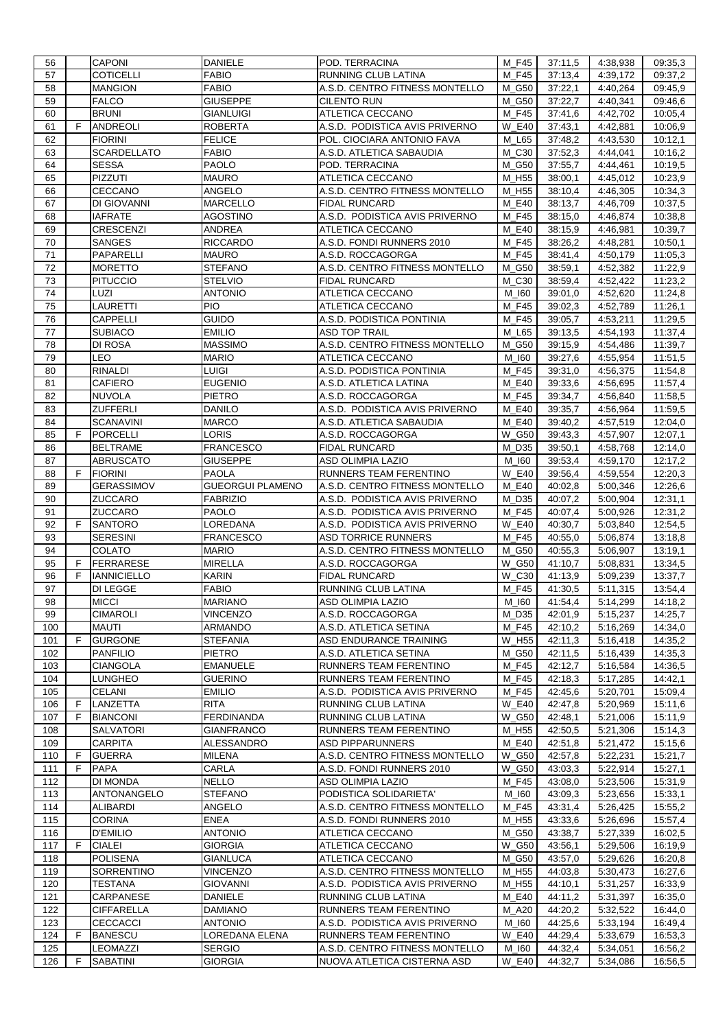| 56         |    | <b>CAPONI</b>                      | <b>DANIELE</b>           | POD. TERRACINA                                                | M F45                | 37:11,5            | 4:38,938              | 09:35,3            |
|------------|----|------------------------------------|--------------------------|---------------------------------------------------------------|----------------------|--------------------|-----------------------|--------------------|
| 57         |    | COTICELLI                          | <b>FABIO</b>             | RUNNING CLUB LATINA                                           | M F45                | 37:13,4            | 4:39,172              | 09:37,2            |
| 58         |    | <b>MANGION</b>                     | <b>FABIO</b>             | A.S.D. CENTRO FITNESS MONTELLO                                | M G50                | 37:22,1            | 4:40,264              | 09:45,9            |
| 59         |    | <b>FALCO</b>                       | <b>GIUSEPPE</b>          | <b>CILENTO RUN</b>                                            | M_G50                | 37:22,7            | 4:40,341              | 09:46,6            |
| 60         |    | <b>BRUNI</b>                       | GIANLUIGI                | ATLETICA CECCANO                                              | M F45                | 37:41,6            | 4:42,702              | 10:05,4            |
| 61         | F. | <b>ANDREOLI</b>                    | <b>ROBERTA</b>           | A.S.D. PODISTICA AVIS PRIVERNO                                | E40<br>W             | 37:43,1            | 4:42,881              | 10:06,9            |
|            |    |                                    |                          |                                                               |                      |                    |                       |                    |
| 62         |    | <b>FIORINI</b>                     | <b>FELICE</b>            | POL. CIOCIARA ANTONIO FAVA                                    | L65<br>M             | 37:48,2            | 4:43,530              | 10:12,1            |
| 63         |    | SCARDELLATO                        | <b>FABIO</b>             | A.S.D. ATLETICA SABAUDIA                                      | M_C30                | 37:52,3            | 4:44,041              | 10:16,2            |
| 64         |    | <b>SESSA</b>                       | PAOLO                    | POD. TERRACINA                                                | M_G50                | 37:55,7            | 4:44,461              | 10:19,5            |
| 65         |    | <b>PIZZUTI</b>                     | <b>MAURO</b>             | ATLETICA CECCANO                                              | M_H55                | 38:00,1            | 4:45,012              | 10:23,9            |
| 66         |    | CECCANO                            | ANGELO                   | A.S.D. CENTRO FITNESS MONTELLO                                | M H55                | 38:10,4            | $\overline{4:}46,305$ | 10:34,3            |
| 67         |    | DI GIOVANNI                        | MARCELLO                 | <b>FIDAL RUNCARD</b>                                          | M E40                | 38:13,7            | $\overline{4:}46,709$ | 10:37,5            |
| 68         |    | <b>IAFRATE</b>                     | AGOSTINO                 | A.S.D. PODISTICA AVIS PRIVERNO                                | M F45                | 38:15,0            | 4:46,874              | 10:38,8            |
| 69         |    | <b>CRESCENZI</b>                   | <b>ANDREA</b>            | ATLETICA CECCANO                                              | M E40                | 38:15,9            | 4:46,981              | 10:39,7            |
| 70         |    | SANGES                             | <b>RICCARDO</b>          | A.S.D. FONDI RUNNERS 2010                                     | M F45                | 38:26,2            | 4:48,281              | 10:50,1            |
| 71         |    | PAPARELLI                          | <b>MAURO</b>             | A.S.D. ROCCAGORGA                                             | M F45                | 38:41,4            | $\overline{4:}50,179$ | 11:05,3            |
| 72         |    | <b>MORETTO</b>                     | <b>STEFANO</b>           | A.S.D. CENTRO FITNESS MONTELLO                                | M_G50                | 38:59,1            | 4:52,382              | 11:22,9            |
| 73         |    | <b>PITUCCIO</b>                    | <b>STELVIO</b>           | <b>FIDAL RUNCARD</b>                                          | M_C30                | 38:59,4            | 4:52,422              | 11:23,2            |
| 74         |    | LUZI                               |                          |                                                               |                      |                    |                       |                    |
|            |    |                                    | <b>ANTONIO</b>           | ATLETICA CECCANO                                              | M 160                | 39:01,0            | 4:52,620              | 11:24,8            |
| 75         |    | LAURETTI                           | PIO                      | ATLETICA CECCANO                                              | M F45                | 39:02,3            | 4:52,789              | 11:26,1            |
| 76         |    | CAPPELLI                           | <b>GUIDO</b>             | A.S.D. PODISTICA PONTINIA                                     | M F45                | 39:05,7            | 4:53,211              | 11:29,5            |
| 77         |    | <b>SUBIACO</b>                     | <b>EMILIO</b>            | <b>ASD TOP TRAIL</b>                                          | M_L65                | 39:13,5            | 4:54,193              | 11:37,4            |
| 78         |    | DI ROSA                            | <b>MASSIMO</b>           | A.S.D. CENTRO FITNESS MONTELLO                                | M G50                | 39:15,9            | 4:54,486              | 11:39,7            |
| 79         |    | LEO                                | <b>MARIO</b>             | ATLETICA CECCANO                                              | M 160                | 39:27,6            | 4:55,954              | 11:51,5            |
| 80         |    | <b>RINALDI</b>                     | LUIGI                    | A.S.D. PODISTICA PONTINIA                                     | M F45                | 39:31,0            | 4:56,375              | 11:54,8            |
| 81         |    | CAFIERO                            | <b>EUGENIO</b>           | A.S.D. ATLETICA LATINA                                        | M E40                | 39:33,6            | 4:56,695              | 11:57,4            |
| 82         |    | <b>NUVOLA</b>                      | <b>PIETRO</b>            | A.S.D. ROCCAGORGA                                             | M F45                | 39:34,7            | 4:56,840              | 11:58,5            |
| 83         |    | ZUFFERLI                           | DANILO                   | A.S.D. PODISTICA AVIS PRIVERNO                                | M E40                | 39:35,7            | 4:56,964              | 11:59.5            |
| 84         |    | SCANAVINI                          | <b>MARCO</b>             | A.S.D. ATLETICA SABAUDIA                                      | M E40                | 39:40,2            | 4:57,519              | 12:04,0            |
| 85         | F  | PORCELLI                           | LORIS                    | A.S.D. ROCCAGORGA                                             | <b>W G50</b>         | 39:43,3            | 4:57,907              | 12:07,1            |
|            |    | <b>BELTRAME</b>                    | <b>FRANCESCO</b>         | <b>FIDAL RUNCARD</b>                                          | M D35                | 39:50,1            |                       | 12:14,0            |
| 86         |    |                                    |                          |                                                               |                      |                    | 4:58,768              |                    |
| 87         |    | ABRUSCATO                          | <b>GIUSEPPE</b>          | ASD OLIMPIA LAZIO                                             | M 160                | 39:53,4            | 4:59,170              | 12:17,2            |
| 88         | F  | <b>FIORINI</b>                     | PAOLA                    | RUNNERS TEAM FERENTINO                                        | <b>W E40</b>         | 39:56,4            | 4:59,554              | 12:20,3            |
| 89         |    | <b>GERASSIMOV</b>                  | <b>GUEORGUI PLAMENO</b>  | A.S.D. CENTRO FITNESS MONTELLO                                | M E40                | 40:02,8            | 5:00,346              | 12:26,6            |
| 90         |    | ZUCCARO                            | <b>FABRIZIO</b>          | A.S.D. PODISTICA AVIS PRIVERNO                                | M D35                | 40:07,2            | 5:00,904              | 12:31,1            |
| 91         |    | ZUCCARO                            | PAOLO                    | A.S.D. PODISTICA AVIS PRIVERNO                                | M F45                | 40:07,4            | 5:00,926              | 12:31,2            |
| 92         | F  | SANTORO                            | LOREDANA                 | A.S.D. PODISTICA AVIS PRIVERNO                                | <b>W E40</b>         | 40:30,7            | 5:03,840              | 12:54,5            |
|            |    |                                    |                          |                                                               |                      |                    |                       |                    |
| 93         |    | <b>SERESINI</b>                    | <b>FRANCESCO</b>         | <b>ASD TORRICE RUNNERS</b>                                    | M F45                | 40:55,0            | 5:06,874              | 13:18,8            |
| 94         |    | COLATO                             | <b>MARIO</b>             |                                                               | M G50                | 40:55,3            |                       | 13:19,1            |
|            |    |                                    |                          | A.S.D. CENTRO FITNESS MONTELLO                                |                      |                    | 5:06,907              |                    |
| 95         | F  | <b>FERRARESE</b>                   | <b>MIRELLA</b>           | A.S.D. ROCCAGORGA                                             | W<br>G50             | 41:10.7            | 5:08,831              | 13:34,5            |
| 96         | F  | <b>IANNICIELLO</b>                 | KARIN                    | <b>FIDAL RUNCARD</b>                                          | C <sub>30</sub><br>W | 41:13,9            | 5:09,239              | 13:37,7            |
| 97         |    | DI LEGGE                           | <b>FABIO</b>             | <b>RUNNING CLUB LATINA</b>                                    | M F45                | 41:30,5            | 5:11,315              | 13:54,4            |
| 98         |    | <b>MICCI</b>                       | <b>MARIANO</b>           | ASD OLIMPIA LAZIO                                             | $M_l$ <sub>60</sub>  | 41:54,4            | 5:14,299              | 14:18,2            |
| 99         |    | CIMAROLI                           | <b>VINCENZO</b>          | A.S.D. ROCCAGORGA                                             | M D35                | 42:01,9            | 5:15,237              | 14:25,7            |
| 100        |    | <b>MAUTI</b>                       | ARMANDO                  | A.S.D. ATLETICA SETINA                                        | M_F45                | 42:10,2            | 5:16,269              | 14:34,0            |
| 101        | F  | <b>GURGONE</b>                     | <b>STEFANIA</b>          | ASD ENDURANCE TRAINING                                        | W_H55                | 42:11,3            | 5:16,418              | 14:35,2            |
| 102        |    | <b>PANFILIO</b>                    | <b>PIETRO</b>            | A.S.D. ATLETICA SETINA                                        | M_G50                | 42:11,5            | 5:16,439              | 14:35,3            |
| 103        |    | <b>CIANGOLA</b>                    | <b>EMANUELE</b>          | RUNNERS TEAM FERENTINO                                        | M F45                | 42:12,7            | 5:16,584              | 14:36,5            |
| 104        |    | LUNGHEO                            | <b>GUERINO</b>           | RUNNERS TEAM FERENTINO                                        | M_F45                | 42:18,3            | 5:17,285              | 14:42,1            |
| 105        |    | CELANI                             | <b>EMILIO</b>            | A.S.D. PODISTICA AVIS PRIVERNO                                | M F45                | 42:45,6            | 5:20,701              | 15:09,4            |
| 106        | F. | LANZETTA                           | RITA                     | RUNNING CLUB LATINA                                           | <b>W E40</b>         | 42:47,8            | 5:20,969              | 15:11,6            |
| 107        | F  | <b>BIANCONI</b>                    | <b>FERDINANDA</b>        | RUNNING CLUB LATINA                                           | W_G50                | 42:48,1            | 5:21,006              | 15:11,9            |
| 108        |    | SALVATORI                          | GIANFRANCO               | RUNNERS TEAM FERENTINO                                        | M_H55                | 42:50,5            | 5:21,306              | 15:14,3            |
| 109        |    |                                    |                          | <b>ASD PIPPARUNNERS</b>                                       | M E40                |                    |                       | 15:15,6            |
|            |    | CARPITA                            | ALESSANDRO               |                                                               |                      | 42:51,8            | 5:21,472              |                    |
| 110        | F  | <b>GUERRA</b>                      | <b>MILENA</b>            | A.S.D. CENTRO FITNESS MONTELLO                                | W_G50                | 42:57,8            | 5:22,231              | 15:21,7            |
| 111        | F  | <b>PAPA</b>                        | CARLA                    | A.S.D. FONDI RUNNERS 2010                                     | W_G50                | 43:03,3            | 5:22,914              | 15:27,1            |
| 112        |    | DI MONDA                           | NELLO                    | ASD OLIMPIA LAZIO                                             | M_F45                | 43:08,0            | 5:23,506              | 15:31,9            |
| 113        |    | ANTONANGELO                        | <b>STEFANO</b>           | PODISTICA SOLIDARIETA'                                        | M 160                | 43:09,3            | 5:23,656              | 15:33,1            |
| 114        |    | <b>ALIBARDI</b>                    | <b>ANGELO</b>            | A.S.D. CENTRO FITNESS MONTELLO                                | M_F45                | 43:31,4            | 5:26,425              | 15:55,2            |
| 115        |    | <b>CORINA</b>                      | <b>ENEA</b>              | A.S.D. FONDI RUNNERS 2010                                     | M_H55                | 43:33,6            | 5:26,696              | 15:57,4            |
| 116        |    | <b>D'EMILIO</b>                    | ANTONIO                  | ATLETICA CECCANO                                              | M_G50                | 43:38,7            | 5:27,339              | 16:02,5            |
| 117        | F  | <b>CIALEI</b>                      | <b>GIORGIA</b>           | ATLETICA CECCANO                                              | <b>W_G50</b>         | 43:56,1            | 5:29,506              | 16:19,9            |
| 118        |    | <b>POLISENA</b>                    | <b>GIANLUCA</b>          | ATLETICA CECCANO                                              | M_G50                | 43:57,0            | 5:29,626              | 16:20,8            |
| 119        |    | SORRENTINO                         | <b>VINCENZO</b>          | A.S.D. CENTRO FITNESS MONTELLO                                | M_H55                | 44:03,8            | 5:30,473              | 16:27,6            |
| 120        |    | TESTANA                            | GIOVANNI                 | A.S.D. PODISTICA AVIS PRIVERNO                                | M_H55                | 44:10,1            | 5:31,257              | 16:33,9            |
| 121        |    | CARPANESE                          | <b>DANIELE</b>           | RUNNING CLUB LATINA                                           | M_E40                | 44:11,2            | 5:31,397              | 16:35,0            |
| 122        |    | <b>CIFFARELLA</b>                  | <b>DAMIANO</b>           | RUNNERS TEAM FERENTINO                                        | M_A20                | 44:20,2            | 5:32,522              | 16:44,0            |
|            |    |                                    |                          |                                                               |                      |                    |                       |                    |
| 123        |    | <b>CECCACCI</b>                    | <b>ANTONIO</b>           | A.S.D. PODISTICA AVIS PRIVERNO                                | M_I60                | 44:25,6            | 5:33,194              | 16:49,4            |
| 124        | F. | BANESCU                            | LOREDANA ELENA           | RUNNERS TEAM FERENTINO                                        | W_E40                | 44:29,4            | 5:33,679              | 16:53,3            |
| 125<br>126 | F. | <b>LEOMAZZI</b><br><b>SABATINI</b> | SERGIO<br><b>GIORGIA</b> | A.S.D. CENTRO FITNESS MONTELLO<br>NUOVA ATLETICA CISTERNA ASD | M_I60<br>W_E40       | 44:32,4<br>44:32,7 | 5:34,051<br>5:34,086  | 16:56,2<br>16:56,5 |